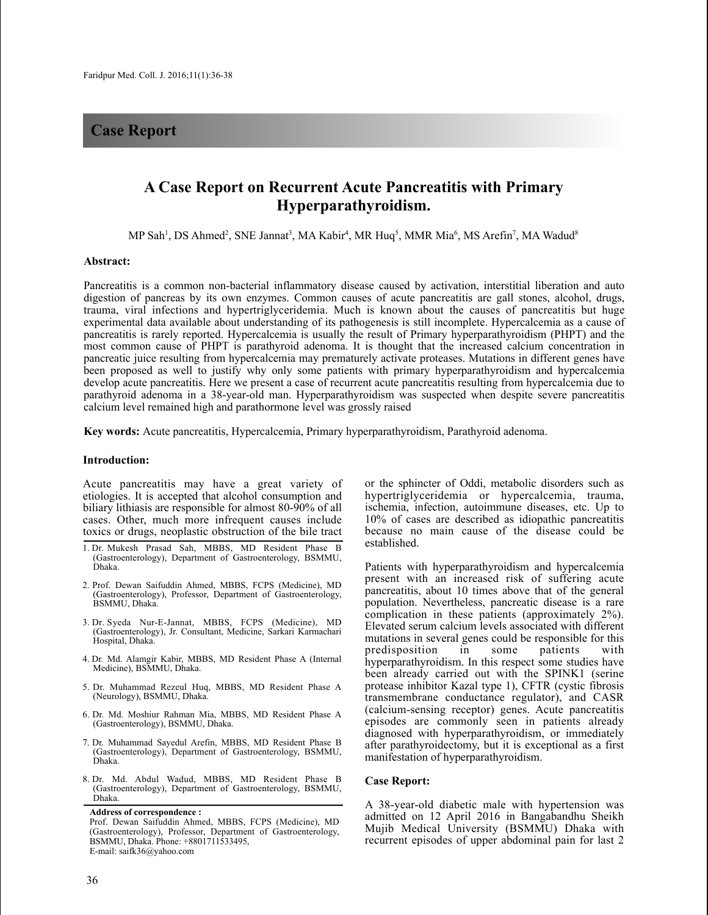## **Case Report**

# **A Case Report on Recurrent Acute Pancreatitis with Primary Hyperparathyroidism.**

MP Sah<sup>1</sup>, DS Ahmed<sup>2</sup>, SNE Jannat<sup>3</sup>, MA Kabir<sup>4</sup>, MR Huq<sup>5</sup>, MMR Mia<sup>6</sup>, MS Arefin<sup>7</sup>, MA Wadud<sup>8</sup>

#### **Abstract:**

Pancreatitis is a common non-bacterial inflammatory disease caused by activation, interstitial liberation and auto digestion of pancreas by its own enzymes. Common causes of acute pancreatitis are gall stones, alcohol, drugs, trauma, viral infections and hypertriglyceridemia. Much is known about the causes of pancreatitis but huge experimental data available about understanding of its pathogenesis is still incomplete. Hypercalcemia as a cause of pancreatitis is rarely reported. Hypercalcemia is usually the result of Primary hyperparathyroidism (PHPT) and the most common cause of PHPT is parathyroid adenoma. It is thought that the increased calcium concentration in pancreatic juice resulting from hypercalcemia may prematurely activate proteases. Mutations in different genes have been proposed as well to justify why only some patients with primary hyperparathyroidism and hypercalcemia develop acute pancreatitis. Here we present a case of recurrent acute pancreatitis resulting from hypercalcemia due to parathyroid adenoma in a 38-year-old man. Hyperparathyroidism was suspected when despite severe pancreatitis calcium level remained high and parathormone level was grossly raised

**Key words:** Acute pancreatitis, Hypercalcemia, Primary hyperparathyroidism, Parathyroid adenoma.

#### **Introduction:**

Acute pancreatitis may have a great variety of etiologies. It is accepted that alcohol consumption and biliary lithiasis are responsible for almost 80-90% of all cases. Other, much more infrequent causes include toxics or drugs, neoplastic obstruction of the bile tract

- 1. Dr. Mukesh Prasad Sah, MBBS, MD Resident Phase B (Gastroenterology), Department of Gastroenterology, BSMMU, Dhaka.
- 2. Prof. Dewan Saifuddin Ahmed, MBBS, FCPS (Medicine), MD (Gastroenterology), Professor, Department of Gastroenterology, BSMMU, Dhaka.
- 3. Dr. Syeda Nur-E-Jannat, MBBS, FCPS (Medicine), MD (Gastroenterology), Jr. Consultant, Medicine, Sarkari Karmachari Hospital, Dhaka.
- 4. Dr. Md. Alamgir Kabir, MBBS, MD Resident Phase A (Internal Medicine), BSMMU, Dhaka.
- 5. Dr. Muhammad Rezeul Huq, MBBS, MD Resident Phase A (Neurology), BSMMU, Dhaka.
- 6. Dr. Md. Moshiur Rahman Mia, MBBS, MD Resident Phase A (Gastroenterology), BSMMU, Dhaka.
- 7. Dr. Muhammad Sayedul Arefin, MBBS, MD Resident Phase B (Gastroenterology), Department of Gastroenterology, BSMMU, Dhaka.
- 8. Dr. Md. Abdul Wadud, MBBS, MD Resident Phase B (Gastroenterology), Department of Gastroenterology, BSMMU, Dhaka.

or the sphincter of Oddi, metabolic disorders such as hypertriglyceridemia or hypercalcemia, trauma, ischemia, infection, autoimmune diseases, etc. Up to 10% of cases are described as idiopathic pancreatitis because no main cause of the disease could be established.

Patients with hyperparathyroidism and hypercalcemia present with an increased risk of suffering acute pancreatitis, about 10 times above that of the general population. Nevertheless, pancreatic disease is a rare complication in these patients (approximately 2%). Elevated serum calcium levels associated with different mutations in several genes could be responsible for this predisposition in some patients with predisposition in some patients with hyperparathyroidism. In this respect some studies have been already carried out with the SPINK1 (serine protease inhibitor Kazal type 1), CFTR (cystic fibrosis transmembrane conductance regulator), and CASR (calcium-sensing receptor) genes. Acute pancreatitis episodes are commonly seen in patients already diagnosed with hyperparathyroidism, or immediately after parathyroidectomy, but it is exceptional as a first manifestation of hyperparathyroidism.

#### **Case Report:**

A 38-year-old diabetic male with hypertension was admitted on 12 April 2016 in Bangabandhu Sheikh Mujib Medical University (BSMMU) Dhaka with recurrent episodes of upper abdominal pain for last 2

**Address of correspondence :**

Prof. Dewan Saifuddin Ahmed, MBBS, FCPS (Medicine), MD (Gastroenterology), Professor, Department of Gastroenterology, BSMMU, Dhaka. Phone: +8801711533495, E-mail: saifk36@yahoo.com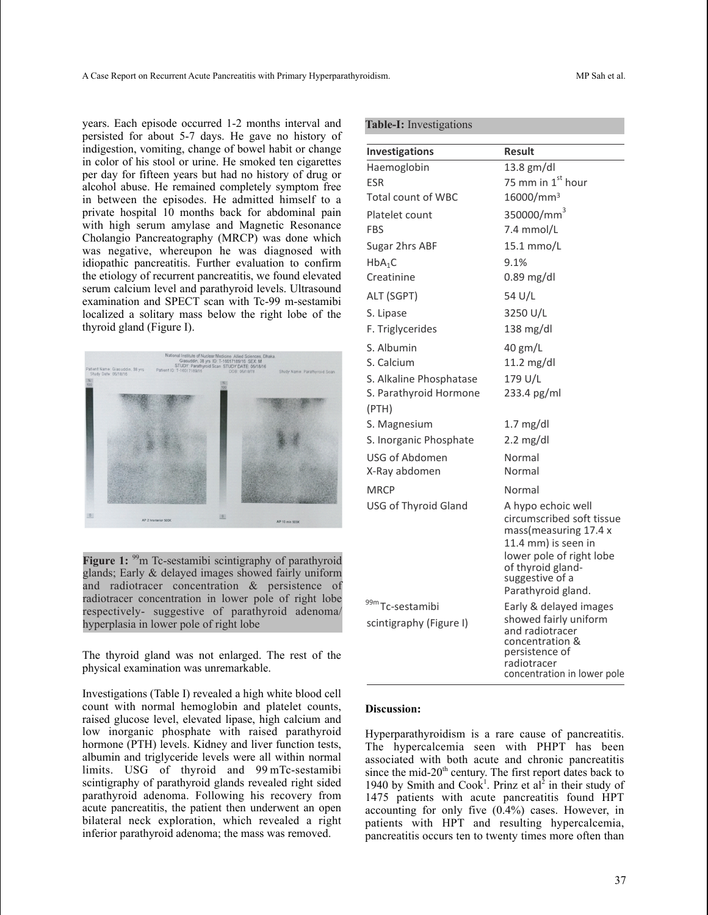years. Each episode occurred 1-2 months interval and persisted for about 5-7 days. He gave no history of indigestion, vomiting, change of bowel habit or change in color of his stool or urine. He smoked ten cigarettes per day for fifteen years but had no history of drug or alcohol abuse. He remained completely symptom free in between the episodes. He admitted himself to a private hospital 10 months back for abdominal pain with high serum amylase and Magnetic Resonance Cholangio Pancreatography (MRCP) was done which was negative, whereupon he was diagnosed with idiopathic pancreatitis. Further evaluation to confirm the etiology of recurrent pancreatitis, we found elevated serum calcium level and parathyroid levels. Ultrasound examination and SPECT scan with Tc-99 m-sestamibi localized a solitary mass below the right lobe of the thyroid gland (Figure I).



Figure 1: <sup>99</sup>m Tc-sestamibi scintigraphy of parathyroid glands; Early & delayed images showed fairly uniform and radiotracer concentration & persistence of radiotracer concentration in lower pole of right lobe respectively- suggestive of parathyroid adenoma/ hyperplasia in lower pole of right lobe

The thyroid gland was not enlarged. The rest of the physical examination was unremarkable.

Investigations (Table I) revealed a high white blood cell count with normal hemoglobin and platelet counts, raised glucose level, elevated lipase, high calcium and low inorganic phosphate with raised parathyroid hormone (PTH) levels. Kidney and liver function tests, albumin and triglyceride levels were all within normal limits. USG of thyroid and 99 mTc-sestamibi scintigraphy of parathyroid glands revealed right sided parathyroid adenoma. Following his recovery from acute pancreatitis, the patient then underwent an open bilateral neck exploration, which revealed a right inferior parathyroid adenoma; the mass was removed.

|  | <b>Table-I:</b> Investigations |
|--|--------------------------------|

| Investigations              | Result                                                                                                                                                                                    |
|-----------------------------|-------------------------------------------------------------------------------------------------------------------------------------------------------------------------------------------|
| Haemoglobin                 | 13.8 gm/dl                                                                                                                                                                                |
| ESR                         | 75 mm in $1^{\text{st}}$ hour                                                                                                                                                             |
| <b>Total count of WBC</b>   | 16000/mm <sup>3</sup>                                                                                                                                                                     |
| Platelet count              | 350000/mm <sup>3</sup>                                                                                                                                                                    |
| <b>FBS</b>                  | 7.4 mmol/L                                                                                                                                                                                |
| Sugar 2hrs ABF              | 15.1 mmo/L                                                                                                                                                                                |
| $HbA_1C$                    | 9.1%                                                                                                                                                                                      |
| Creatinine                  | $0.89$ mg/dl                                                                                                                                                                              |
| ALT (SGPT)                  | 54 U/L                                                                                                                                                                                    |
| S. Lipase                   | 3250 U/L                                                                                                                                                                                  |
| F. Triglycerides            | $138$ mg/dl                                                                                                                                                                               |
| S. Albumin                  | 40 gm/L                                                                                                                                                                                   |
| S. Calcium                  | $11.2$ mg/dl                                                                                                                                                                              |
| S. Alkaline Phosphatase     | 179 U/L                                                                                                                                                                                   |
| S. Parathyroid Hormone      | 233.4 pg/ml                                                                                                                                                                               |
| (PTH)                       |                                                                                                                                                                                           |
| S. Magnesium                | $1.7 \text{ mg/dl}$                                                                                                                                                                       |
| S. Inorganic Phosphate      | $2.2 \text{ mg/dl}$                                                                                                                                                                       |
| USG of Abdomen              | Normal                                                                                                                                                                                    |
| X-Ray abdomen               | Normal                                                                                                                                                                                    |
| <b>MRCP</b>                 | Normal                                                                                                                                                                                    |
| <b>USG of Thyroid Gland</b> | A hypo echoic well<br>circumscribed soft tissue<br>mass(measuring 17.4 x<br>11.4 mm) is seen in<br>lower pole of right lobe<br>of thyroid gland-<br>suggestive of a<br>Parathyroid gland. |
| 99mTc-sestamibi             | Early & delayed images                                                                                                                                                                    |
| scintigraphy (Figure I)     | showed fairly uniform<br>and radiotracer<br>concentration &<br>persistence of<br>radiotracer<br>concentration in lower pole                                                               |

#### **Discussion:**

Hyperparathyroidism is a rare cause of pancreatitis. The hypercalcemia seen with PHPT has been associated with both acute and chronic pancreatitis since the mid-20<sup>th</sup> century. The first report dates back to 1940 by Smith and Cook<sup>1</sup>. Prinz et al<sup>2</sup> in their study of 1475 patients with acute pancreatitis found HPT accounting for only five (0.4%) cases. However, in patients with HPT and resulting hypercalcemia, pancreatitis occurs ten to twenty times more often than